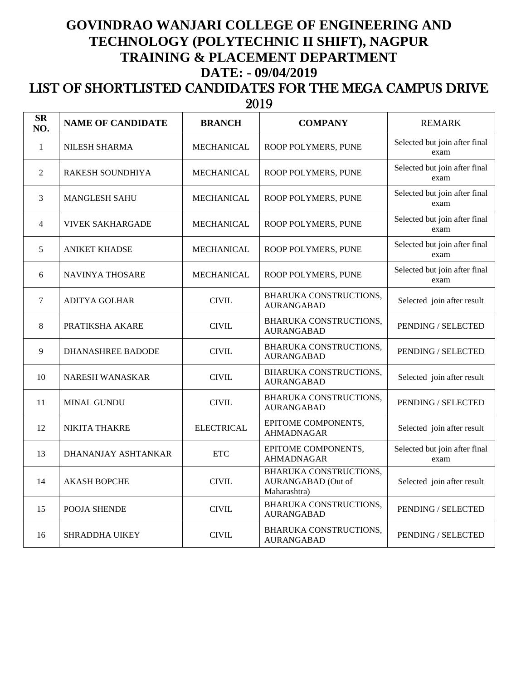## **GOVINDRAO WANJARI COLLEGE OF ENGINEERING AND TECHNOLOGY (POLYTECHNIC II SHIFT), NAGPUR TRAINING & PLACEMENT DEPARTMENT DATE: - 09/04/2019**

## LIST OF SHORTLISTED CANDIDATES FOR THE MEGA CAMPUS DRIVE  $\frac{2019}{1}$

| <b>SR</b><br>NO. | <b>NAME OF CANDIDATE</b> | <b>BRANCH</b>             | <b>COMPANY</b>                                               | <b>REMARK</b>                         |
|------------------|--------------------------|---------------------------|--------------------------------------------------------------|---------------------------------------|
| $\mathbf{1}$     | <b>NILESH SHARMA</b>     | <b>MECHANICAL</b>         | ROOP POLYMERS, PUNE                                          | Selected but join after final<br>exam |
| $\overline{2}$   | <b>RAKESH SOUNDHIYA</b>  | <b>MECHANICAL</b>         | ROOP POLYMERS, PUNE                                          | Selected but join after final<br>exam |
| 3                | <b>MANGLESH SAHU</b>     | MECHANICAL                | ROOP POLYMERS, PUNE                                          | Selected but join after final<br>exam |
| $\overline{4}$   | VIVEK SAKHARGADE         | <b>MECHANICAL</b>         | ROOP POLYMERS, PUNE                                          | Selected but join after final<br>exam |
| 5                | <b>ANIKET KHADSE</b>     | MECHANICAL                | ROOP POLYMERS, PUNE                                          | Selected but join after final<br>exam |
| 6                | <b>NAVINYA THOSARE</b>   | <b>MECHANICAL</b>         | ROOP POLYMERS, PUNE                                          | Selected but join after final<br>exam |
| $\tau$           | <b>ADITYA GOLHAR</b>     | <b>CIVIL</b>              | BHARUKA CONSTRUCTIONS,<br><b>AURANGABAD</b>                  | Selected join after result            |
| 8                | PRATIKSHA AKARE          | <b>CIVIL</b>              | BHARUKA CONSTRUCTIONS,<br><b>AURANGABAD</b>                  | PENDING / SELECTED                    |
| 9                | DHANASHREE BADODE        | <b>CIVIL</b>              | BHARUKA CONSTRUCTIONS,<br><b>AURANGABAD</b>                  | PENDING / SELECTED                    |
| 10               | NARESH WANASKAR          | <b>CIVIL</b>              | BHARUKA CONSTRUCTIONS,<br><b>AURANGABAD</b>                  | Selected join after result            |
| 11               | <b>MINAL GUNDU</b>       | <b>CIVIL</b>              | BHARUKA CONSTRUCTIONS,<br><b>AURANGABAD</b>                  | PENDING / SELECTED                    |
| 12               | NIKITA THAKRE            | <b>ELECTRICAL</b>         | EPITOME COMPONENTS,<br><b>AHMADNAGAR</b>                     | Selected join after result            |
| 13               | DHANANJAY ASHTANKAR      | $\ensuremath{\text{ETC}}$ | EPITOME COMPONENTS,<br>AHMADNAGAR                            | Selected but join after final<br>exam |
| 14               | <b>AKASH BOPCHE</b>      | <b>CIVIL</b>              | BHARUKA CONSTRUCTIONS,<br>AURANGABAD (Out of<br>Maharashtra) | Selected join after result            |
| 15               | POOJA SHENDE             | <b>CIVIL</b>              | BHARUKA CONSTRUCTIONS,<br><b>AURANGABAD</b>                  | PENDING / SELECTED                    |
| 16               | <b>SHRADDHA UIKEY</b>    | <b>CIVIL</b>              | BHARUKA CONSTRUCTIONS,<br><b>AURANGABAD</b>                  | PENDING / SELECTED                    |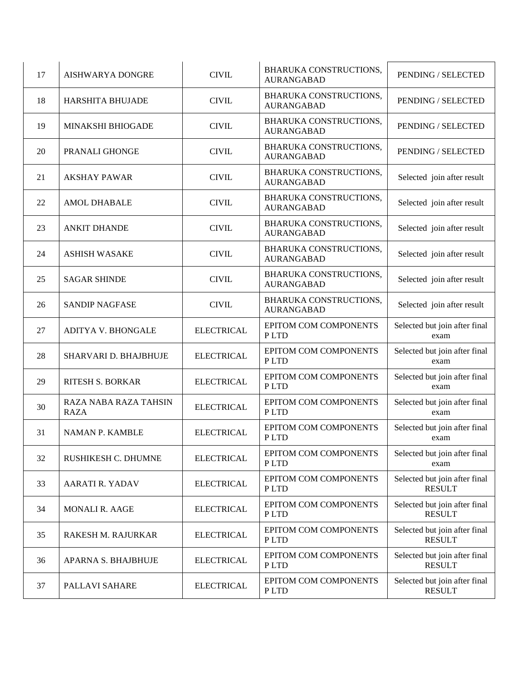| 17 | AISHWARYA DONGRE                     | <b>CIVIL</b>      | <b>BHARUKA CONSTRUCTIONS,</b><br><b>AURANGABAD</b> | PENDING / SELECTED                             |
|----|--------------------------------------|-------------------|----------------------------------------------------|------------------------------------------------|
| 18 | HARSHITA BHUJADE                     | <b>CIVIL</b>      | BHARUKA CONSTRUCTIONS,<br><b>AURANGABAD</b>        | PENDING / SELECTED                             |
| 19 | MINAKSHI BHIOGADE                    | <b>CIVIL</b>      | <b>BHARUKA CONSTRUCTIONS,</b><br><b>AURANGABAD</b> | PENDING / SELECTED                             |
| 20 | PRANALI GHONGE                       | <b>CIVIL</b>      | BHARUKA CONSTRUCTIONS,<br><b>AURANGABAD</b>        | PENDING / SELECTED                             |
| 21 | <b>AKSHAY PAWAR</b>                  | <b>CIVIL</b>      | <b>BHARUKA CONSTRUCTIONS,</b><br><b>AURANGABAD</b> | Selected join after result                     |
| 22 | <b>AMOL DHABALE</b>                  | <b>CIVIL</b>      | BHARUKA CONSTRUCTIONS,<br><b>AURANGABAD</b>        | Selected join after result                     |
| 23 | <b>ANKIT DHANDE</b>                  | <b>CIVIL</b>      | BHARUKA CONSTRUCTIONS,<br><b>AURANGABAD</b>        | Selected join after result                     |
| 24 | <b>ASHISH WASAKE</b>                 | <b>CIVIL</b>      | BHARUKA CONSTRUCTIONS,<br><b>AURANGABAD</b>        | Selected join after result                     |
| 25 | <b>SAGAR SHINDE</b>                  | <b>CIVIL</b>      | BHARUKA CONSTRUCTIONS,<br><b>AURANGABAD</b>        | Selected join after result                     |
| 26 | <b>SANDIP NAGFASE</b>                | <b>CIVIL</b>      | BHARUKA CONSTRUCTIONS,<br><b>AURANGABAD</b>        | Selected join after result                     |
| 27 | <b>ADITYA V. BHONGALE</b>            | <b>ELECTRICAL</b> | EPITOM COM COMPONENTS<br>P LTD                     | Selected but join after final<br>exam          |
| 28 | SHARVARI D. BHAJBHUJE                | <b>ELECTRICAL</b> | EPITOM COM COMPONENTS<br>P LTD                     | Selected but join after final<br>exam          |
| 29 | <b>RITESH S. BORKAR</b>              | <b>ELECTRICAL</b> | EPITOM COM COMPONENTS<br>P LTD                     | Selected but join after final<br>exam          |
| 30 | RAZA NABA RAZA TAHSIN<br><b>RAZA</b> | <b>ELECTRICAL</b> | EPITOM COM COMPONENTS<br>P LTD                     | Selected but join after final<br>exam          |
| 31 | NAMAN P. KAMBLE                      | <b>ELECTRICAL</b> | EPITOM COM COMPONENTS<br>PLTD                      | Selected but join after final<br>exam          |
| 32 | RUSHIKESH C. DHUMNE                  | <b>ELECTRICAL</b> | EPITOM COM COMPONENTS<br>P LTD                     | Selected but join after final<br>exam          |
| 33 | AARATI R. YADAV                      | <b>ELECTRICAL</b> | EPITOM COM COMPONENTS<br>P LTD                     | Selected but join after final<br><b>RESULT</b> |
| 34 | <b>MONALI R. AAGE</b>                | <b>ELECTRICAL</b> | EPITOM COM COMPONENTS<br>PLTD                      | Selected but join after final<br><b>RESULT</b> |
| 35 | RAKESH M. RAJURKAR                   | <b>ELECTRICAL</b> | <b>EPITOM COM COMPONENTS</b><br>PLTD               | Selected but join after final<br><b>RESULT</b> |
| 36 | APARNA S. BHAJBHUJE                  | <b>ELECTRICAL</b> | EPITOM COM COMPONENTS<br>PLTD                      | Selected but join after final<br><b>RESULT</b> |
| 37 | PALLAVI SAHARE                       | <b>ELECTRICAL</b> | EPITOM COM COMPONENTS<br>P LTD                     | Selected but join after final<br><b>RESULT</b> |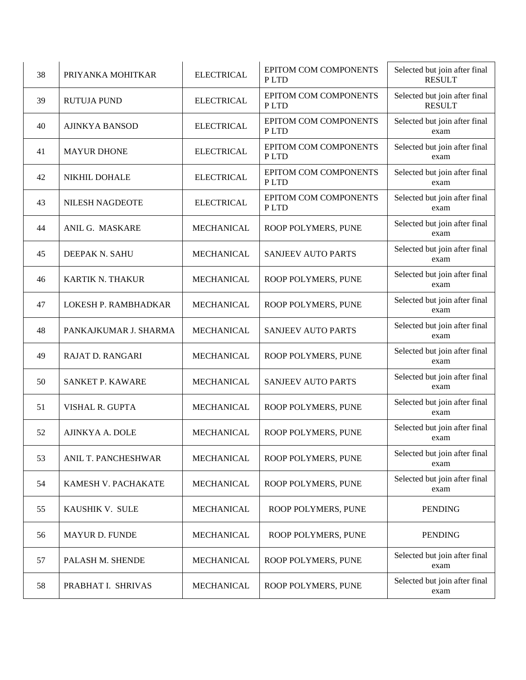| 38 | PRIYANKA MOHITKAR       | <b>ELECTRICAL</b> | <b>EPITOM COM COMPONENTS</b><br>P LTD | Selected but join after final<br><b>RESULT</b> |
|----|-------------------------|-------------------|---------------------------------------|------------------------------------------------|
| 39 | <b>RUTUJA PUND</b>      | <b>ELECTRICAL</b> | <b>EPITOM COM COMPONENTS</b><br>PLTD  | Selected but join after final<br><b>RESULT</b> |
| 40 | <b>AJINKYA BANSOD</b>   | <b>ELECTRICAL</b> | <b>EPITOM COM COMPONENTS</b><br>PLTD  | Selected but join after final<br>exam          |
| 41 | <b>MAYUR DHONE</b>      | <b>ELECTRICAL</b> | <b>EPITOM COM COMPONENTS</b><br>PLTD  | Selected but join after final<br>exam          |
| 42 | NIKHIL DOHALE           | <b>ELECTRICAL</b> | EPITOM COM COMPONENTS<br>PLTD         | Selected but join after final<br>exam          |
| 43 | NILESH NAGDEOTE         | <b>ELECTRICAL</b> | EPITOM COM COMPONENTS<br>P LTD        | Selected but join after final<br>exam          |
| 44 | ANIL G. MASKARE         | MECHANICAL        | ROOP POLYMERS, PUNE                   | Selected but join after final<br>exam          |
| 45 | DEEPAK N. SAHU          | <b>MECHANICAL</b> | <b>SANJEEV AUTO PARTS</b>             | Selected but join after final<br>exam          |
| 46 | <b>KARTIK N. THAKUR</b> | <b>MECHANICAL</b> | ROOP POLYMERS, PUNE                   | Selected but join after final<br>exam          |
| 47 | LOKESH P. RAMBHADKAR    | <b>MECHANICAL</b> | ROOP POLYMERS, PUNE                   | Selected but join after final<br>exam          |
| 48 | PANKAJKUMAR J. SHARMA   | <b>MECHANICAL</b> | <b>SANJEEV AUTO PARTS</b>             | Selected but join after final<br>exam          |
| 49 | RAJAT D. RANGARI        | MECHANICAL        | ROOP POLYMERS, PUNE                   | Selected but join after final<br>exam          |
| 50 | SANKET P. KAWARE        | <b>MECHANICAL</b> | <b>SANJEEV AUTO PARTS</b>             | Selected but join after final<br>exam          |
| 51 | VISHAL R. GUPTA         | <b>MECHANICAL</b> | ROOP POLYMERS, PUNE                   | Selected but join after final<br>exam          |
| 52 | AJINKYA A. DOLE         | MECHANICAL        | ROOP POLYMERS, PUNE                   | Selected but join after final<br>exam          |
| 53 | ANIL T. PANCHESHWAR     | <b>MECHANICAL</b> | ROOP POLYMERS, PUNE                   | Selected but join after final<br>exam          |
| 54 | KAMESH V. PACHAKATE     | MECHANICAL        | ROOP POLYMERS, PUNE                   | Selected but join after final<br>exam          |
| 55 | KAUSHIK V. SULE         | <b>MECHANICAL</b> | ROOP POLYMERS, PUNE                   | <b>PENDING</b>                                 |
| 56 | MAYUR D. FUNDE          | MECHANICAL        | ROOP POLYMERS, PUNE                   | <b>PENDING</b>                                 |
| 57 | PALASH M. SHENDE        | MECHANICAL        | ROOP POLYMERS, PUNE                   | Selected but join after final<br>exam          |
| 58 | PRABHAT I. SHRIVAS      | MECHANICAL        | ROOP POLYMERS, PUNE                   | Selected but join after final<br>exam          |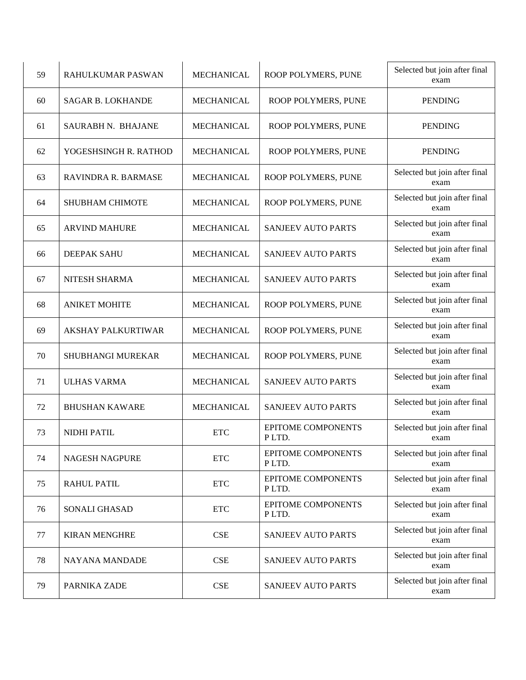| 59 | RAHULKUMAR PASWAN          | <b>MECHANICAL</b> | ROOP POLYMERS, PUNE                | Selected but join after final<br>exam |
|----|----------------------------|-------------------|------------------------------------|---------------------------------------|
| 60 | <b>SAGAR B. LOKHANDE</b>   | <b>MECHANICAL</b> | ROOP POLYMERS, PUNE                | <b>PENDING</b>                        |
| 61 | SAURABH N. BHAJANE         | <b>MECHANICAL</b> | ROOP POLYMERS, PUNE                | <b>PENDING</b>                        |
| 62 | YOGESHSINGH R. RATHOD      | <b>MECHANICAL</b> | ROOP POLYMERS, PUNE                | <b>PENDING</b>                        |
| 63 | <b>RAVINDRA R. BARMASE</b> | <b>MECHANICAL</b> | ROOP POLYMERS, PUNE                | Selected but join after final<br>exam |
| 64 | <b>SHUBHAM CHIMOTE</b>     | <b>MECHANICAL</b> | ROOP POLYMERS, PUNE                | Selected but join after final<br>exam |
| 65 | <b>ARVIND MAHURE</b>       | <b>MECHANICAL</b> | <b>SANJEEV AUTO PARTS</b>          | Selected but join after final<br>exam |
| 66 | DEEPAK SAHU                | <b>MECHANICAL</b> | <b>SANJEEV AUTO PARTS</b>          | Selected but join after final<br>exam |
| 67 | NITESH SHARMA              | <b>MECHANICAL</b> | <b>SANJEEV AUTO PARTS</b>          | Selected but join after final<br>exam |
| 68 | <b>ANIKET MOHITE</b>       | <b>MECHANICAL</b> | ROOP POLYMERS, PUNE                | Selected but join after final<br>exam |
| 69 | <b>AKSHAY PALKURTIWAR</b>  | <b>MECHANICAL</b> | ROOP POLYMERS, PUNE                | Selected but join after final<br>exam |
| 70 | SHUBHANGI MUREKAR          | <b>MECHANICAL</b> | ROOP POLYMERS, PUNE                | Selected but join after final<br>exam |
| 71 | <b>ULHAS VARMA</b>         | <b>MECHANICAL</b> | <b>SANJEEV AUTO PARTS</b>          | Selected but join after final<br>exam |
| 72 | <b>BHUSHAN KAWARE</b>      | <b>MECHANICAL</b> | <b>SANJEEV AUTO PARTS</b>          | Selected but join after final<br>exam |
| 73 | NIDHI PATIL                | <b>ETC</b>        | <b>EPITOME COMPONENTS</b><br>PLTD. | Selected but join after final<br>exam |
| 74 | NAGESH NAGPURE             | <b>ETC</b>        | EPITOME COMPONENTS<br>PLTD.        | Selected but join after final<br>exam |
| 75 | <b>RAHUL PATIL</b>         | <b>ETC</b>        | EPITOME COMPONENTS<br>PLTD.        | Selected but join after final<br>exam |
| 76 | SONALI GHASAD              | <b>ETC</b>        | EPITOME COMPONENTS<br>PLTD.        | Selected but join after final<br>exam |
| 77 | <b>KIRAN MENGHRE</b>       | CSE               | <b>SANJEEV AUTO PARTS</b>          | Selected but join after final<br>exam |
| 78 | NAYANA MANDADE             | CSE               | <b>SANJEEV AUTO PARTS</b>          | Selected but join after final<br>exam |
| 79 | PARNIKA ZADE               | CSE               | SANJEEV AUTO PARTS                 | Selected but join after final<br>exam |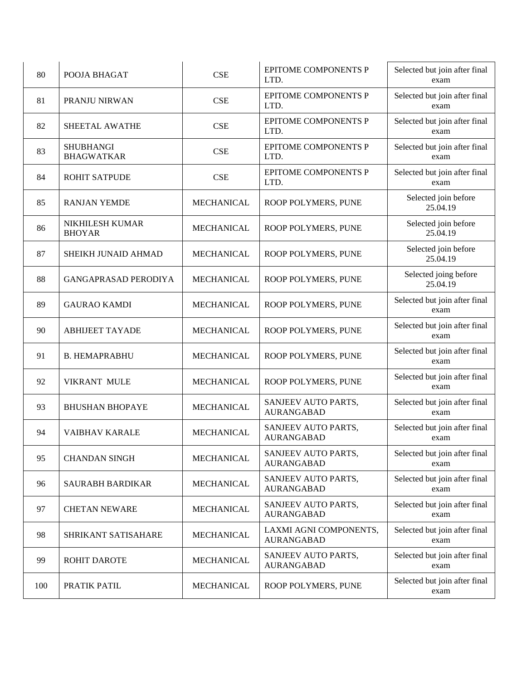| 80  | POOJA BHAGAT                          | CSE               | <b>EPITOME COMPONENTS P</b><br>LTD.         | Selected but join after final<br>exam |
|-----|---------------------------------------|-------------------|---------------------------------------------|---------------------------------------|
| 81  | PRANJU NIRWAN                         | <b>CSE</b>        | <b>EPITOME COMPONENTS P</b><br>LTD.         | Selected but join after final<br>exam |
| 82  | SHEETAL AWATHE                        | CSE               | <b>EPITOME COMPONENTS P</b><br>LTD.         | Selected but join after final<br>exam |
| 83  | <b>SHUBHANGI</b><br><b>BHAGWATKAR</b> | CSE               | <b>EPITOME COMPONENTS P</b><br>LTD.         | Selected but join after final<br>exam |
| 84  | ROHIT SATPUDE                         | CSE               | <b>EPITOME COMPONENTS P</b><br>LTD.         | Selected but join after final<br>exam |
| 85  | <b>RANJAN YEMDE</b>                   | <b>MECHANICAL</b> | ROOP POLYMERS, PUNE                         | Selected join before<br>25.04.19      |
| 86  | NIKHILESH KUMAR<br><b>BHOYAR</b>      | <b>MECHANICAL</b> | ROOP POLYMERS, PUNE                         | Selected join before<br>25.04.19      |
| 87  | SHEIKH JUNAID AHMAD                   | <b>MECHANICAL</b> | ROOP POLYMERS, PUNE                         | Selected join before<br>25.04.19      |
| 88  | <b>GANGAPRASAD PERODIYA</b>           | <b>MECHANICAL</b> | ROOP POLYMERS, PUNE                         | Selected joing before<br>25.04.19     |
| 89  | <b>GAURAO KAMDI</b>                   | <b>MECHANICAL</b> | ROOP POLYMERS, PUNE                         | Selected but join after final<br>exam |
| 90  | <b>ABHIJEET TAYADE</b>                | <b>MECHANICAL</b> | ROOP POLYMERS, PUNE                         | Selected but join after final<br>exam |
| 91  | <b>B. HEMAPRABHU</b>                  | <b>MECHANICAL</b> | ROOP POLYMERS, PUNE                         | Selected but join after final<br>exam |
| 92  | <b>VIKRANT MULE</b>                   | <b>MECHANICAL</b> | ROOP POLYMERS, PUNE                         | Selected but join after final<br>exam |
| 93  | <b>BHUSHAN BHOPAYE</b>                | <b>MECHANICAL</b> | SANJEEV AUTO PARTS,<br><b>AURANGABAD</b>    | Selected but join after final<br>exam |
| 94  | <b>VAIBHAV KARALE</b>                 | <b>MECHANICAL</b> | SANJEEV AUTO PARTS,<br><b>AURANGABAD</b>    | Selected but join after final<br>exam |
| 95  | <b>CHANDAN SINGH</b>                  | MECHANICAL        | SANJEEV AUTO PARTS,<br><b>AURANGABAD</b>    | Selected but join after final<br>exam |
| 96  | SAURABH BARDIKAR                      | MECHANICAL        | SANJEEV AUTO PARTS,<br><b>AURANGABAD</b>    | Selected but join after final<br>exam |
| 97  | <b>CHETAN NEWARE</b>                  | MECHANICAL        | SANJEEV AUTO PARTS,<br><b>AURANGABAD</b>    | Selected but join after final<br>exam |
| 98  | SHRIKANT SATISAHARE                   | MECHANICAL        | LAXMI AGNI COMPONENTS,<br><b>AURANGABAD</b> | Selected but join after final<br>exam |
| 99  | ROHIT DAROTE                          | MECHANICAL        | SANJEEV AUTO PARTS,<br><b>AURANGABAD</b>    | Selected but join after final<br>exam |
| 100 | PRATIK PATIL                          | MECHANICAL        | ROOP POLYMERS, PUNE                         | Selected but join after final<br>exam |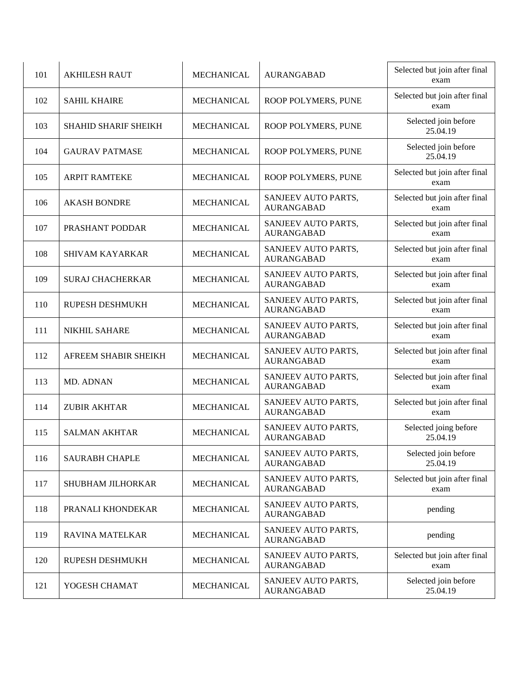| 101 | <b>AKHILESH RAUT</b>        | <b>MECHANICAL</b> | <b>AURANGABAD</b>                        | Selected but join after final<br>exam |
|-----|-----------------------------|-------------------|------------------------------------------|---------------------------------------|
| 102 | <b>SAHIL KHAIRE</b>         | <b>MECHANICAL</b> | ROOP POLYMERS, PUNE                      | Selected but join after final<br>exam |
| 103 | <b>SHAHID SHARIF SHEIKH</b> | <b>MECHANICAL</b> | ROOP POLYMERS, PUNE                      | Selected join before<br>25.04.19      |
| 104 | <b>GAURAV PATMASE</b>       | <b>MECHANICAL</b> | ROOP POLYMERS, PUNE                      | Selected join before<br>25.04.19      |
| 105 | <b>ARPIT RAMTEKE</b>        | <b>MECHANICAL</b> | ROOP POLYMERS, PUNE                      | Selected but join after final<br>exam |
| 106 | <b>AKASH BONDRE</b>         | <b>MECHANICAL</b> | SANJEEV AUTO PARTS,<br><b>AURANGABAD</b> | Selected but join after final<br>exam |
| 107 | PRASHANT PODDAR             | <b>MECHANICAL</b> | SANJEEV AUTO PARTS,<br><b>AURANGABAD</b> | Selected but join after final<br>exam |
| 108 | <b>SHIVAM KAYARKAR</b>      | <b>MECHANICAL</b> | SANJEEV AUTO PARTS,<br><b>AURANGABAD</b> | Selected but join after final<br>exam |
| 109 | <b>SURAJ CHACHERKAR</b>     | <b>MECHANICAL</b> | SANJEEV AUTO PARTS,<br><b>AURANGABAD</b> | Selected but join after final<br>exam |
| 110 | RUPESH DESHMUKH             | <b>MECHANICAL</b> | SANJEEV AUTO PARTS,<br><b>AURANGABAD</b> | Selected but join after final<br>exam |
| 111 | <b>NIKHIL SAHARE</b>        | <b>MECHANICAL</b> | SANJEEV AUTO PARTS,<br><b>AURANGABAD</b> | Selected but join after final<br>exam |
| 112 | AFREEM SHABIR SHEIKH        | <b>MECHANICAL</b> | SANJEEV AUTO PARTS,<br><b>AURANGABAD</b> | Selected but join after final<br>exam |
| 113 | MD. ADNAN                   | <b>MECHANICAL</b> | SANJEEV AUTO PARTS,<br><b>AURANGABAD</b> | Selected but join after final<br>exam |
| 114 | <b>ZUBIR AKHTAR</b>         | <b>MECHANICAL</b> | SANJEEV AUTO PARTS,<br><b>AURANGABAD</b> | Selected but join after final<br>exam |
| 115 | <b>SALMAN AKHTAR</b>        | <b>MECHANICAL</b> | SANJEEV AUTO PARTS,<br><b>AURANGABAD</b> | Selected joing before<br>25.04.19     |
| 116 | <b>SAURABH CHAPLE</b>       | MECHANICAL        | SANJEEV AUTO PARTS,<br><b>AURANGABAD</b> | Selected join before<br>25.04.19      |
| 117 | SHUBHAM JILHORKAR           | MECHANICAL        | SANJEEV AUTO PARTS,<br><b>AURANGABAD</b> | Selected but join after final<br>exam |
| 118 | PRANALI KHONDEKAR           | <b>MECHANICAL</b> | SANJEEV AUTO PARTS,<br><b>AURANGABAD</b> | pending                               |
| 119 | <b>RAVINA MATELKAR</b>      | MECHANICAL        | SANJEEV AUTO PARTS,<br><b>AURANGABAD</b> | pending                               |
| 120 | RUPESH DESHMUKH             | MECHANICAL        | SANJEEV AUTO PARTS,<br><b>AURANGABAD</b> | Selected but join after final<br>exam |
| 121 | YOGESH CHAMAT               | MECHANICAL        | SANJEEV AUTO PARTS,<br><b>AURANGABAD</b> | Selected join before<br>25.04.19      |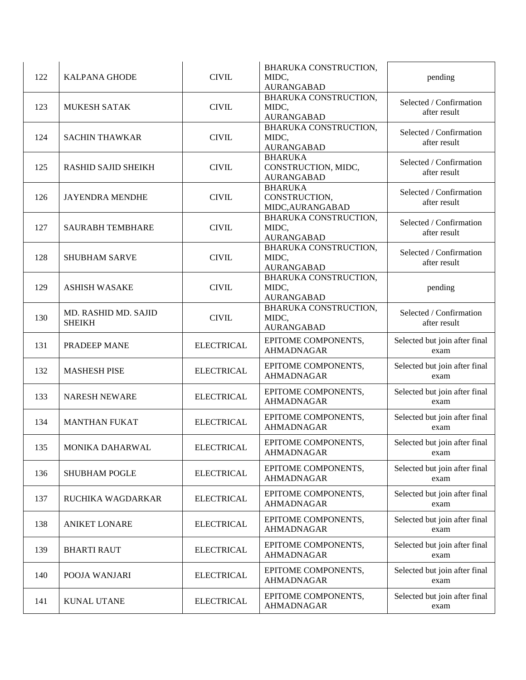| 122 | <b>KALPANA GHODE</b>                  | <b>CIVIL</b>      | BHARUKA CONSTRUCTION,<br>MIDC,<br><b>AURANGABAD</b>        | pending                                 |
|-----|---------------------------------------|-------------------|------------------------------------------------------------|-----------------------------------------|
| 123 | <b>MUKESH SATAK</b>                   | <b>CIVIL</b>      | BHARUKA CONSTRUCTION,<br>MIDC,<br><b>AURANGABAD</b>        | Selected / Confirmation<br>after result |
| 124 | <b>SACHIN THAWKAR</b>                 | <b>CIVIL</b>      | BHARUKA CONSTRUCTION,<br>MIDC,<br><b>AURANGABAD</b>        | Selected / Confirmation<br>after result |
| 125 | <b>RASHID SAJID SHEIKH</b>            | <b>CIVIL</b>      | <b>BHARUKA</b><br>CONSTRUCTION, MIDC,<br><b>AURANGABAD</b> | Selected / Confirmation<br>after result |
| 126 | <b>JAYENDRA MENDHE</b>                | <b>CIVIL</b>      | <b>BHARUKA</b><br>CONSTRUCTION,<br>MIDC, AURANGABAD        | Selected / Confirmation<br>after result |
| 127 | <b>SAURABH TEMBHARE</b>               | <b>CIVIL</b>      | BHARUKA CONSTRUCTION,<br>MIDC,<br><b>AURANGABAD</b>        | Selected / Confirmation<br>after result |
| 128 | <b>SHUBHAM SARVE</b>                  | <b>CIVIL</b>      | BHARUKA CONSTRUCTION,<br>MIDC,<br><b>AURANGABAD</b>        | Selected / Confirmation<br>after result |
| 129 | <b>ASHISH WASAKE</b>                  | <b>CIVIL</b>      | BHARUKA CONSTRUCTION,<br>MIDC,<br><b>AURANGABAD</b>        | pending                                 |
| 130 | MD. RASHID MD. SAJID<br><b>SHEIKH</b> | <b>CIVIL</b>      | BHARUKA CONSTRUCTION,<br>MIDC,<br><b>AURANGABAD</b>        | Selected / Confirmation<br>after result |
| 131 | PRADEEP MANE                          | <b>ELECTRICAL</b> | EPITOME COMPONENTS,<br><b>AHMADNAGAR</b>                   | Selected but join after final<br>exam   |
| 132 | <b>MASHESH PISE</b>                   | <b>ELECTRICAL</b> | EPITOME COMPONENTS,<br><b>AHMADNAGAR</b>                   | Selected but join after final<br>exam   |
| 133 | <b>NARESH NEWARE</b>                  | <b>ELECTRICAL</b> | EPITOME COMPONENTS,<br><b>AHMADNAGAR</b>                   | Selected but join after final<br>exam   |
| 134 | <b>MANTHAN FUKAT</b>                  | <b>ELECTRICAL</b> | EPITOME COMPONENTS,<br><b>AHMADNAGAR</b>                   | Selected but join after final<br>exam   |
| 135 | MONIKA DAHARWAL                       | <b>ELECTRICAL</b> | EPITOME COMPONENTS,<br><b>AHMADNAGAR</b>                   | Selected but join after final<br>exam   |
| 136 | <b>SHUBHAM POGLE</b>                  | <b>ELECTRICAL</b> | EPITOME COMPONENTS,<br><b>AHMADNAGAR</b>                   | Selected but join after final<br>exam   |
| 137 | RUCHIKA WAGDARKAR                     | <b>ELECTRICAL</b> | EPITOME COMPONENTS,<br><b>AHMADNAGAR</b>                   | Selected but join after final<br>exam   |
| 138 | <b>ANIKET LONARE</b>                  | <b>ELECTRICAL</b> | EPITOME COMPONENTS,<br><b>AHMADNAGAR</b>                   | Selected but join after final<br>exam   |
| 139 | <b>BHARTI RAUT</b>                    | <b>ELECTRICAL</b> | EPITOME COMPONENTS,<br><b>AHMADNAGAR</b>                   | Selected but join after final<br>exam   |
| 140 | POOJA WANJARI                         | <b>ELECTRICAL</b> | EPITOME COMPONENTS,<br><b>AHMADNAGAR</b>                   | Selected but join after final<br>exam   |
| 141 | KUNAL UTANE                           | <b>ELECTRICAL</b> | EPITOME COMPONENTS,<br><b>AHMADNAGAR</b>                   | Selected but join after final<br>exam   |